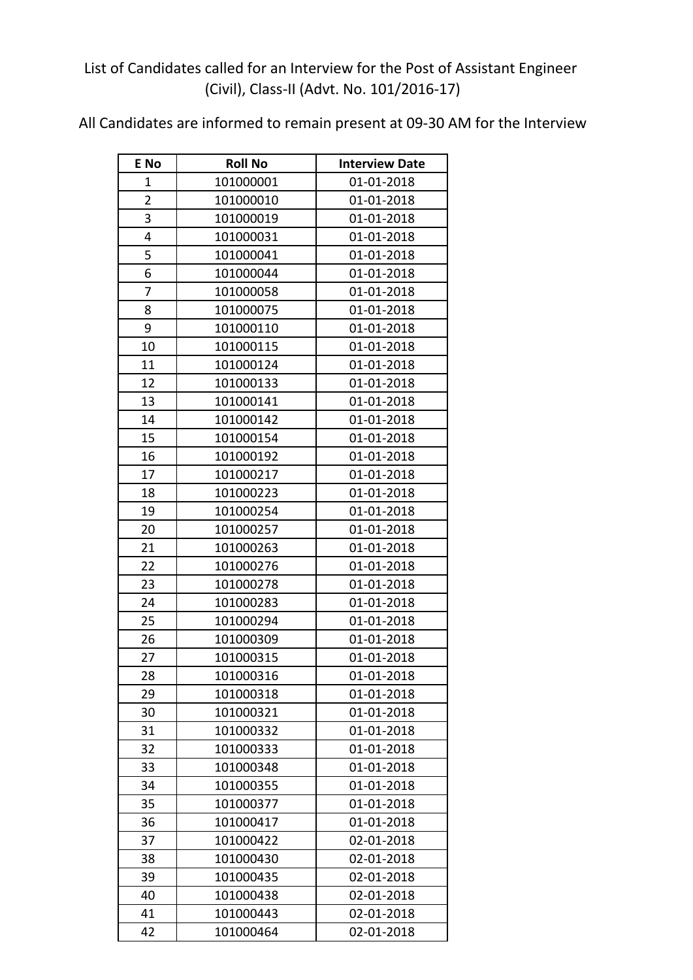## List of Candidates called for an Interview for the Post of Assistant Engineer (Civil), Class-II (Advt. No. 101/2016-17)

All Candidates are informed to remain present at 09-30 AM for the Interview

| E No                    | <b>Roll No</b> | <b>Interview Date</b> |
|-------------------------|----------------|-----------------------|
| 1                       | 101000001      | 01-01-2018            |
| $\overline{2}$          | 101000010      | 01-01-2018            |
| $\overline{\mathbf{3}}$ | 101000019      | 01-01-2018            |
| 4                       | 101000031      | 01-01-2018            |
| 5                       | 101000041      | 01-01-2018            |
| 6                       | 101000044      | 01-01-2018            |
| 7                       | 101000058      | 01-01-2018            |
| 8                       | 101000075      | 01-01-2018            |
| 9                       | 101000110      | 01-01-2018            |
| 10                      | 101000115      | 01-01-2018            |
| 11                      | 101000124      | 01-01-2018            |
| 12                      | 101000133      | 01-01-2018            |
| 13                      | 101000141      | 01-01-2018            |
| 14                      | 101000142      | 01-01-2018            |
| 15                      | 101000154      | 01-01-2018            |
| 16                      | 101000192      | 01-01-2018            |
| 17                      | 101000217      | 01-01-2018            |
| 18                      | 101000223      | 01-01-2018            |
| 19                      | 101000254      | 01-01-2018            |
| 20                      | 101000257      | 01-01-2018            |
| 21                      | 101000263      | 01-01-2018            |
| 22                      | 101000276      | 01-01-2018            |
| 23                      | 101000278      | 01-01-2018            |
| 24                      | 101000283      | 01-01-2018            |
| 25                      | 101000294      | 01-01-2018            |
| 26                      | 101000309      | 01-01-2018            |
| 27                      | 101000315      | 01-01-2018            |
| 28                      | 101000316      | 01-01-2018            |
| 29                      | 101000318      | 01-01-2018            |
| 30                      | 101000321      | 01-01-2018            |
| 31                      | 101000332      | 01-01-2018            |
| 32                      | 101000333      | 01-01-2018            |
| 33                      | 101000348      | 01-01-2018            |
| 34                      | 101000355      | 01-01-2018            |
| 35                      | 101000377      | 01-01-2018            |
| 36                      | 101000417      | 01-01-2018            |
| 37                      | 101000422      | 02-01-2018            |
| 38                      | 101000430      | 02-01-2018            |
| 39                      | 101000435      | 02-01-2018            |
| 40                      | 101000438      | 02-01-2018            |
| 41                      | 101000443      | 02-01-2018            |
| 42                      | 101000464      | 02-01-2018            |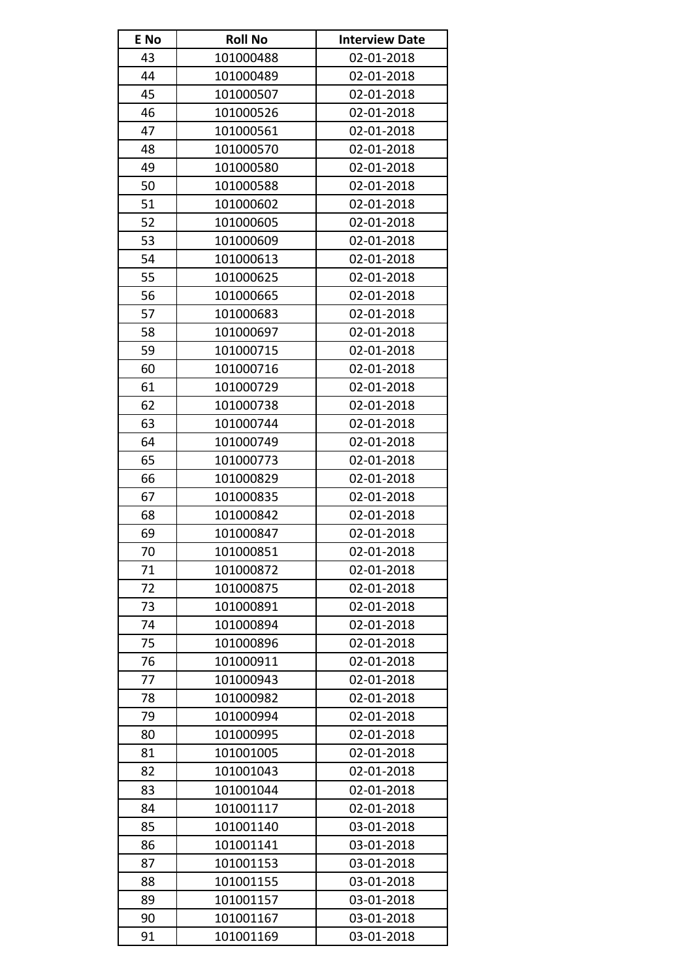| E No | <b>Roll No</b> | <b>Interview Date</b> |
|------|----------------|-----------------------|
| 43   | 101000488      | 02-01-2018            |
| 44   | 101000489      | 02-01-2018            |
| 45   | 101000507      | 02-01-2018            |
| 46   | 101000526      | 02-01-2018            |
| 47   | 101000561      | 02-01-2018            |
| 48   | 101000570      | 02-01-2018            |
| 49   | 101000580      | 02-01-2018            |
| 50   | 101000588      | 02-01-2018            |
| 51   | 101000602      | 02-01-2018            |
| 52   | 101000605      | 02-01-2018            |
| 53   | 101000609      | 02-01-2018            |
| 54   | 101000613      | 02-01-2018            |
| 55   | 101000625      | 02-01-2018            |
| 56   | 101000665      | 02-01-2018            |
| 57   | 101000683      | 02-01-2018            |
| 58   | 101000697      | 02-01-2018            |
| 59   | 101000715      | 02-01-2018            |
| 60   | 101000716      | 02-01-2018            |
| 61   | 101000729      | 02-01-2018            |
| 62   | 101000738      | 02-01-2018            |
| 63   | 101000744      | 02-01-2018            |
| 64   | 101000749      | 02-01-2018            |
| 65   | 101000773      | 02-01-2018            |
| 66   | 101000829      | 02-01-2018            |
| 67   | 101000835      | 02-01-2018            |
| 68   | 101000842      | 02-01-2018            |
| 69   | 101000847      | 02-01-2018            |
| 70   | 101000851      | 02-01-2018            |
| 71   | 101000872      | 02-01-2018            |
| 72   | 101000875      | 02-01-2018            |
| 73   | 101000891      | 02-01-2018            |
| 74   | 101000894      | 02-01-2018            |
| 75   | 101000896      | 02-01-2018            |
| 76   | 101000911      | 02-01-2018            |
| 77   | 101000943      | 02-01-2018            |
| 78   | 101000982      | 02-01-2018            |
| 79   | 101000994      | 02-01-2018            |
| 80   | 101000995      | 02-01-2018            |
| 81   | 101001005      | 02-01-2018            |
| 82   | 101001043      | 02-01-2018            |
| 83   | 101001044      | 02-01-2018            |
| 84   | 101001117      | 02-01-2018            |
| 85   | 101001140      | 03-01-2018            |
| 86   | 101001141      | 03-01-2018            |
| 87   | 101001153      | 03-01-2018            |
| 88   | 101001155      | 03-01-2018            |
| 89   | 101001157      | 03-01-2018            |
| 90   | 101001167      | 03-01-2018            |
| 91   | 101001169      | 03-01-2018            |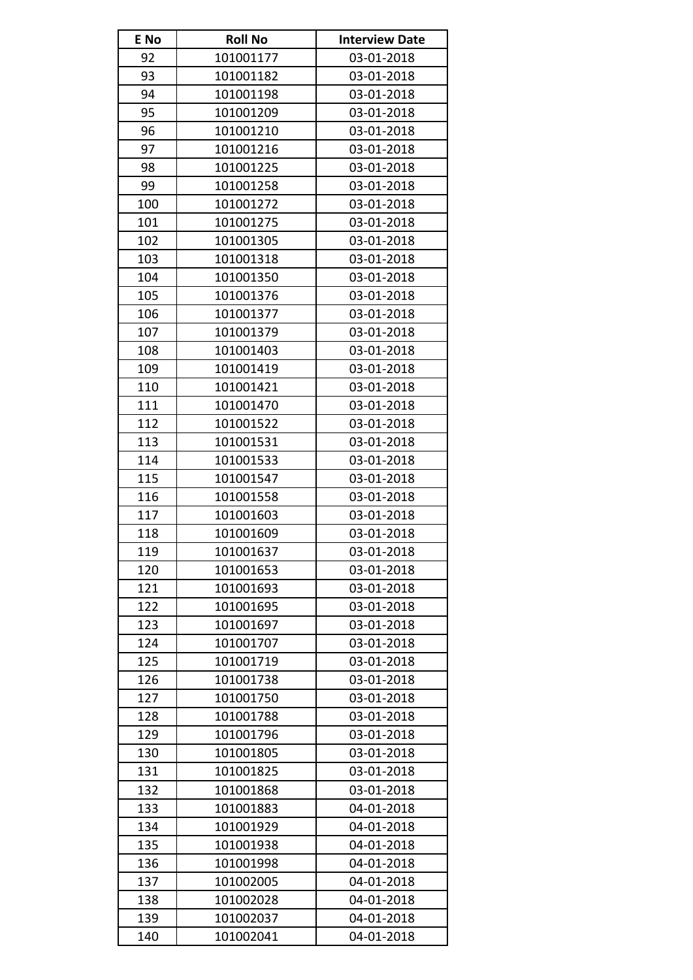| E No | <b>Roll No</b> | <b>Interview Date</b> |
|------|----------------|-----------------------|
| 92   | 101001177      | 03-01-2018            |
| 93   | 101001182      | 03-01-2018            |
| 94   | 101001198      | 03-01-2018            |
| 95   | 101001209      | 03-01-2018            |
| 96   | 101001210      | 03-01-2018            |
| 97   | 101001216      | 03-01-2018            |
| 98   | 101001225      | 03-01-2018            |
| 99   | 101001258      | 03-01-2018            |
| 100  | 101001272      | 03-01-2018            |
| 101  | 101001275      | 03-01-2018            |
| 102  | 101001305      | 03-01-2018            |
| 103  | 101001318      | 03-01-2018            |
| 104  | 101001350      | 03-01-2018            |
| 105  | 101001376      | 03-01-2018            |
| 106  | 101001377      | 03-01-2018            |
| 107  | 101001379      | 03-01-2018            |
| 108  | 101001403      | 03-01-2018            |
| 109  | 101001419      | 03-01-2018            |
| 110  | 101001421      | 03-01-2018            |
| 111  | 101001470      | 03-01-2018            |
| 112  | 101001522      | 03-01-2018            |
| 113  | 101001531      | 03-01-2018            |
| 114  | 101001533      | 03-01-2018            |
| 115  | 101001547      | 03-01-2018            |
| 116  | 101001558      | 03-01-2018            |
| 117  | 101001603      | 03-01-2018            |
| 118  | 101001609      | 03-01-2018            |
| 119  | 101001637      | 03-01-2018            |
| 120  | 101001653      | 03-01-2018            |
| 121  | 101001693      | 03-01-2018            |
| 122  | 101001695      | 03-01-2018            |
| 123  | 101001697      | 03-01-2018            |
| 124  | 101001707      | 03-01-2018            |
| 125  | 101001719      | 03-01-2018            |
| 126  | 101001738      | 03-01-2018            |
| 127  | 101001750      | 03-01-2018            |
| 128  | 101001788      | 03-01-2018            |
| 129  | 101001796      | 03-01-2018            |
| 130  | 101001805      | 03-01-2018            |
| 131  | 101001825      | 03-01-2018            |
| 132  | 101001868      | 03-01-2018            |
| 133  | 101001883      | 04-01-2018            |
| 134  | 101001929      | 04-01-2018            |
| 135  | 101001938      | 04-01-2018            |
| 136  | 101001998      | 04-01-2018            |
| 137  | 101002005      | 04-01-2018            |
| 138  | 101002028      | 04-01-2018            |
| 139  | 101002037      | 04-01-2018            |
| 140  | 101002041      | 04-01-2018            |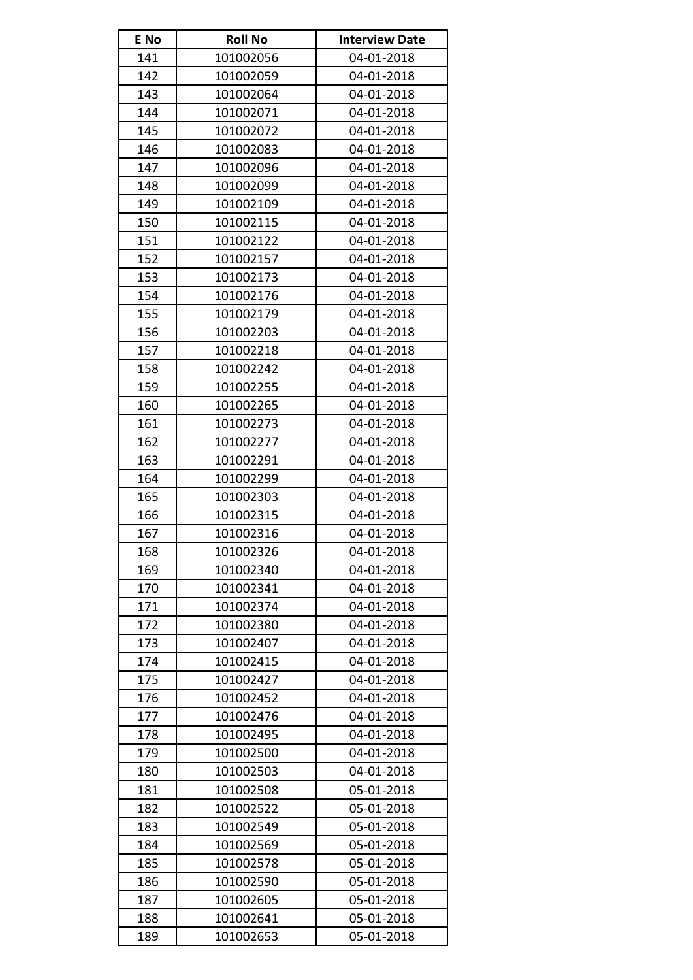| E No | <b>Roll No</b> | <b>Interview Date</b> |
|------|----------------|-----------------------|
| 141  | 101002056      | 04-01-2018            |
| 142  | 101002059      | 04-01-2018            |
| 143  | 101002064      | 04-01-2018            |
| 144  | 101002071      | 04-01-2018            |
| 145  | 101002072      | 04-01-2018            |
| 146  | 101002083      | 04-01-2018            |
| 147  | 101002096      | 04-01-2018            |
| 148  | 101002099      | 04-01-2018            |
| 149  | 101002109      | 04-01-2018            |
| 150  | 101002115      | 04-01-2018            |
| 151  | 101002122      | 04-01-2018            |
| 152  | 101002157      | 04-01-2018            |
| 153  | 101002173      | 04-01-2018            |
| 154  | 101002176      | 04-01-2018            |
| 155  | 101002179      | 04-01-2018            |
| 156  | 101002203      | 04-01-2018            |
| 157  | 101002218      | 04-01-2018            |
| 158  | 101002242      | 04-01-2018            |
| 159  | 101002255      | 04-01-2018            |
| 160  | 101002265      | 04-01-2018            |
| 161  | 101002273      | 04-01-2018            |
| 162  | 101002277      | 04-01-2018            |
| 163  | 101002291      | 04-01-2018            |
| 164  | 101002299      | 04-01-2018            |
| 165  | 101002303      | 04-01-2018            |
| 166  | 101002315      | 04-01-2018            |
| 167  | 101002316      | 04-01-2018            |
| 168  | 101002326      | 04-01-2018            |
| 169  | 101002340      | 04-01-2018            |
| 170  | 101002341      | 04-01-2018            |
| 171  | 101002374      | 04-01-2018            |
| 172  | 101002380      | 04-01-2018            |
| 173  | 101002407      | 04-01-2018            |
| 174  | 101002415      | 04-01-2018            |
| 175  | 101002427      | 04-01-2018            |
| 176  | 101002452      | 04-01-2018            |
| 177  | 101002476      | 04-01-2018            |
| 178  | 101002495      | 04-01-2018            |
| 179  | 101002500      | 04-01-2018            |
| 180  | 101002503      | 04-01-2018            |
| 181  | 101002508      | 05-01-2018            |
| 182  | 101002522      | 05-01-2018            |
| 183  | 101002549      | 05-01-2018            |
| 184  | 101002569      | 05-01-2018            |
| 185  | 101002578      | 05-01-2018            |
| 186  | 101002590      | 05-01-2018            |
| 187  | 101002605      | 05-01-2018            |
| 188  | 101002641      | 05-01-2018            |
| 189  | 101002653      | 05-01-2018            |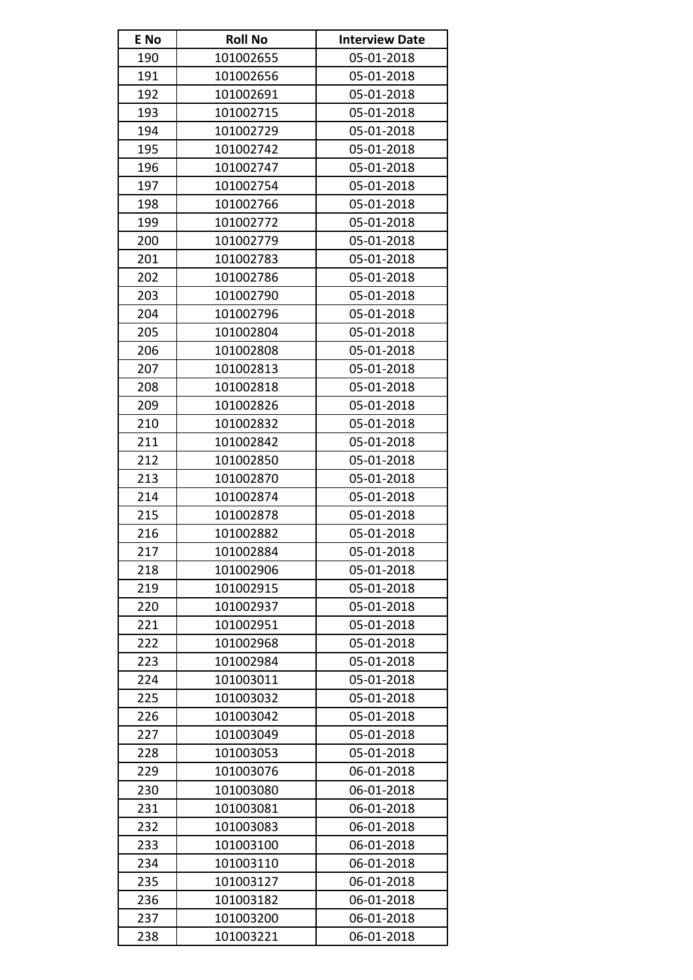| E No | <b>Roll No</b> | <b>Interview Date</b> |
|------|----------------|-----------------------|
| 190  | 101002655      | 05-01-2018            |
| 191  | 101002656      | 05-01-2018            |
| 192  | 101002691      | 05-01-2018            |
| 193  | 101002715      | 05-01-2018            |
| 194  | 101002729      | 05-01-2018            |
| 195  | 101002742      | 05-01-2018            |
| 196  | 101002747      | 05-01-2018            |
| 197  | 101002754      | 05-01-2018            |
| 198  | 101002766      | 05-01-2018            |
| 199  | 101002772      | 05-01-2018            |
| 200  | 101002779      | 05-01-2018            |
| 201  | 101002783      | 05-01-2018            |
| 202  | 101002786      | 05-01-2018            |
| 203  | 101002790      | 05-01-2018            |
| 204  | 101002796      | 05-01-2018            |
| 205  | 101002804      | 05-01-2018            |
| 206  | 101002808      | 05-01-2018            |
| 207  | 101002813      | 05-01-2018            |
| 208  | 101002818      | 05-01-2018            |
| 209  | 101002826      | 05-01-2018            |
| 210  | 101002832      | 05-01-2018            |
| 211  | 101002842      | 05-01-2018            |
| 212  | 101002850      | 05-01-2018            |
| 213  | 101002870      | 05-01-2018            |
| 214  | 101002874      | 05-01-2018            |
| 215  | 101002878      | 05-01-2018            |
| 216  | 101002882      | 05-01-2018            |
| 217  | 101002884      | 05-01-2018            |
| 218  | 101002906      | 05-01-2018            |
| 219  | 101002915      | 05-01-2018            |
| 220  | 101002937      | 05-01-2018            |
| 221  | 101002951      | 05-01-2018            |
| 222  | 101002968      | 05-01-2018            |
| 223  | 101002984      | 05-01-2018            |
| 224  | 101003011      | 05-01-2018            |
| 225  | 101003032      | 05-01-2018            |
| 226  | 101003042      | 05-01-2018            |
| 227  | 101003049      | 05-01-2018            |
| 228  | 101003053      | 05-01-2018            |
| 229  | 101003076      | 06-01-2018            |
| 230  | 101003080      | 06-01-2018            |
| 231  | 101003081      | 06-01-2018            |
| 232  | 101003083      | 06-01-2018            |
| 233  | 101003100      | 06-01-2018            |
| 234  | 101003110      | 06-01-2018            |
| 235  | 101003127      | 06-01-2018            |
| 236  | 101003182      | 06-01-2018            |
| 237  | 101003200      | 06-01-2018            |
| 238  | 101003221      | 06-01-2018            |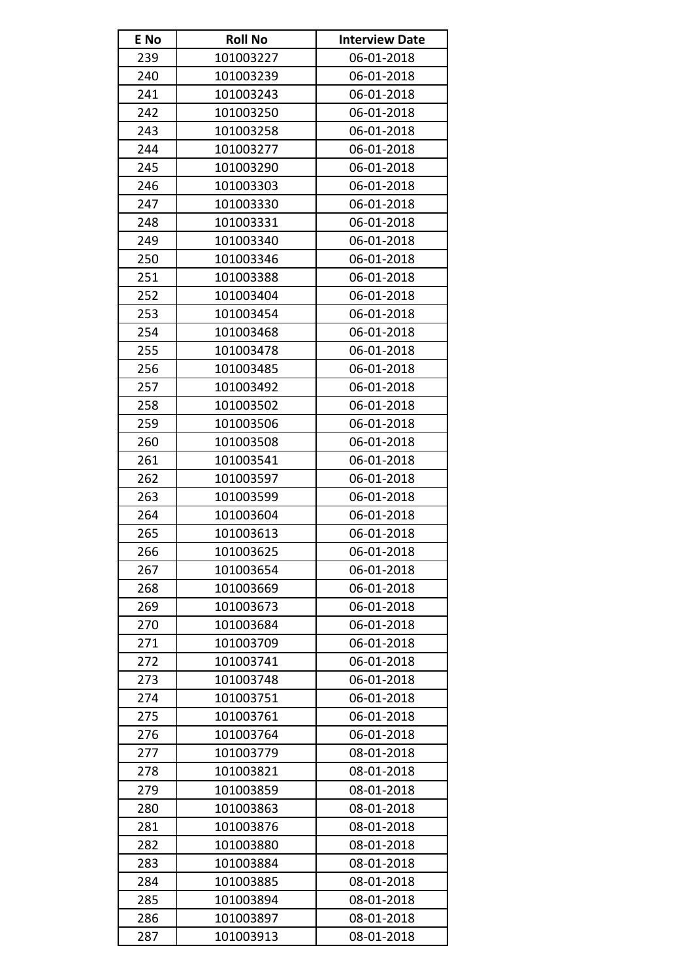| E No | <b>Roll No</b> | <b>Interview Date</b> |
|------|----------------|-----------------------|
| 239  | 101003227      | 06-01-2018            |
| 240  | 101003239      | 06-01-2018            |
| 241  | 101003243      | 06-01-2018            |
| 242  | 101003250      | 06-01-2018            |
| 243  | 101003258      | 06-01-2018            |
| 244  | 101003277      | 06-01-2018            |
| 245  | 101003290      | 06-01-2018            |
| 246  | 101003303      | 06-01-2018            |
| 247  | 101003330      | 06-01-2018            |
| 248  | 101003331      | 06-01-2018            |
| 249  | 101003340      | 06-01-2018            |
| 250  | 101003346      | 06-01-2018            |
| 251  | 101003388      | 06-01-2018            |
| 252  | 101003404      | 06-01-2018            |
| 253  | 101003454      | 06-01-2018            |
| 254  | 101003468      | 06-01-2018            |
| 255  | 101003478      | 06-01-2018            |
| 256  | 101003485      | 06-01-2018            |
| 257  | 101003492      | 06-01-2018            |
| 258  | 101003502      | 06-01-2018            |
| 259  | 101003506      | 06-01-2018            |
| 260  | 101003508      | 06-01-2018            |
| 261  | 101003541      | 06-01-2018            |
| 262  | 101003597      | 06-01-2018            |
| 263  | 101003599      | 06-01-2018            |
| 264  | 101003604      | 06-01-2018            |
| 265  | 101003613      | 06-01-2018            |
| 266  | 101003625      | 06-01-2018            |
| 267  | 101003654      | 06-01-2018            |
| 268  | 101003669      | 06-01-2018            |
| 269  | 101003673      | 06-01-2018            |
| 270  | 101003684      | 06-01-2018            |
| 271  | 101003709      | 06-01-2018            |
| 272  | 101003741      | 06-01-2018            |
| 273  | 101003748      | 06-01-2018            |
| 274  | 101003751      | 06-01-2018            |
| 275  | 101003761      | 06-01-2018            |
| 276  | 101003764      | 06-01-2018            |
| 277  | 101003779      | 08-01-2018            |
| 278  | 101003821      | 08-01-2018            |
| 279  | 101003859      | 08-01-2018            |
| 280  | 101003863      | 08-01-2018            |
| 281  | 101003876      | 08-01-2018            |
| 282  | 101003880      | 08-01-2018            |
| 283  | 101003884      | 08-01-2018            |
| 284  | 101003885      | 08-01-2018            |
| 285  | 101003894      | 08-01-2018            |
| 286  | 101003897      | 08-01-2018            |
| 287  | 101003913      | 08-01-2018            |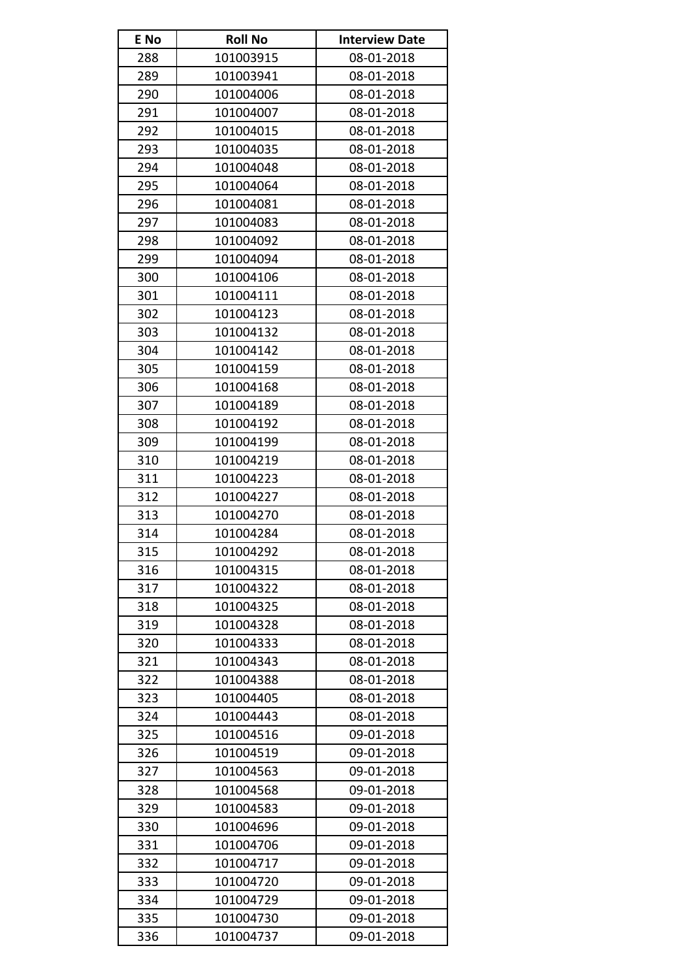| E No | <b>Roll No</b> | <b>Interview Date</b> |
|------|----------------|-----------------------|
| 288  | 101003915      | 08-01-2018            |
| 289  | 101003941      | 08-01-2018            |
| 290  | 101004006      | 08-01-2018            |
| 291  | 101004007      | 08-01-2018            |
| 292  | 101004015      | 08-01-2018            |
| 293  | 101004035      | 08-01-2018            |
| 294  | 101004048      | 08-01-2018            |
| 295  | 101004064      | 08-01-2018            |
| 296  | 101004081      | 08-01-2018            |
| 297  | 101004083      | 08-01-2018            |
| 298  | 101004092      | 08-01-2018            |
| 299  | 101004094      | 08-01-2018            |
| 300  | 101004106      | 08-01-2018            |
| 301  | 101004111      | 08-01-2018            |
| 302  | 101004123      | 08-01-2018            |
| 303  | 101004132      | 08-01-2018            |
| 304  | 101004142      | 08-01-2018            |
| 305  | 101004159      | 08-01-2018            |
| 306  | 101004168      | 08-01-2018            |
| 307  | 101004189      | 08-01-2018            |
| 308  | 101004192      | 08-01-2018            |
| 309  | 101004199      | 08-01-2018            |
| 310  | 101004219      | 08-01-2018            |
| 311  | 101004223      | 08-01-2018            |
| 312  | 101004227      | 08-01-2018            |
| 313  | 101004270      | 08-01-2018            |
| 314  | 101004284      | 08-01-2018            |
| 315  | 101004292      | 08-01-2018            |
| 316  | 101004315      | 08-01-2018            |
| 317  | 101004322      | 08-01-2018            |
| 318  | 101004325      | 08-01-2018            |
| 319  | 101004328      | 08-01-2018            |
| 320  | 101004333      | 08-01-2018            |
| 321  | 101004343      | 08-01-2018            |
| 322  | 101004388      | 08-01-2018            |
| 323  | 101004405      | 08-01-2018            |
| 324  | 101004443      | 08-01-2018            |
| 325  | 101004516      | 09-01-2018            |
| 326  | 101004519      | 09-01-2018            |
| 327  | 101004563      | 09-01-2018            |
| 328  | 101004568      | 09-01-2018            |
| 329  | 101004583      | 09-01-2018            |
| 330  | 101004696      | 09-01-2018            |
| 331  | 101004706      | 09-01-2018            |
| 332  | 101004717      | 09-01-2018            |
| 333  | 101004720      | 09-01-2018            |
| 334  | 101004729      | 09-01-2018            |
| 335  | 101004730      | 09-01-2018            |
| 336  | 101004737      | 09-01-2018            |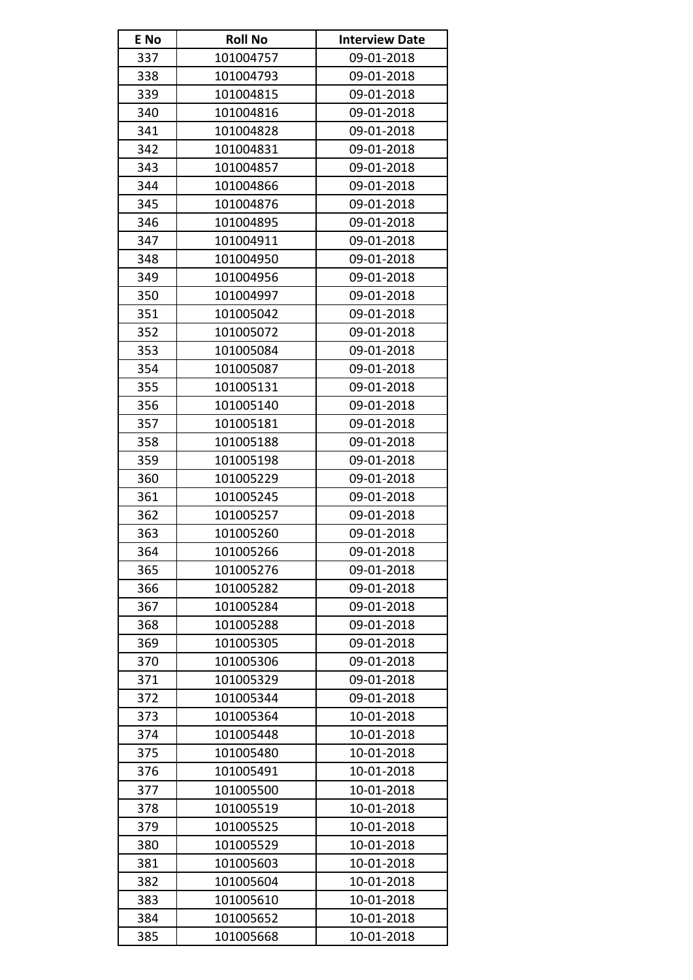| E No | <b>Roll No</b> | <b>Interview Date</b> |
|------|----------------|-----------------------|
| 337  | 101004757      | 09-01-2018            |
| 338  | 101004793      | 09-01-2018            |
| 339  | 101004815      | 09-01-2018            |
| 340  | 101004816      | 09-01-2018            |
| 341  | 101004828      | 09-01-2018            |
| 342  | 101004831      | 09-01-2018            |
| 343  | 101004857      | 09-01-2018            |
| 344  | 101004866      | 09-01-2018            |
| 345  | 101004876      | 09-01-2018            |
| 346  | 101004895      | 09-01-2018            |
| 347  | 101004911      | 09-01-2018            |
| 348  | 101004950      | 09-01-2018            |
| 349  | 101004956      | 09-01-2018            |
| 350  | 101004997      | 09-01-2018            |
| 351  | 101005042      | 09-01-2018            |
| 352  | 101005072      | 09-01-2018            |
| 353  | 101005084      | 09-01-2018            |
| 354  | 101005087      | 09-01-2018            |
| 355  | 101005131      | 09-01-2018            |
| 356  | 101005140      | 09-01-2018            |
| 357  | 101005181      | 09-01-2018            |
| 358  | 101005188      | 09-01-2018            |
| 359  | 101005198      | 09-01-2018            |
| 360  | 101005229      | 09-01-2018            |
| 361  | 101005245      | 09-01-2018            |
| 362  | 101005257      | 09-01-2018            |
| 363  | 101005260      | 09-01-2018            |
| 364  | 101005266      | 09-01-2018            |
| 365  | 101005276      | 09-01-2018            |
| 366  | 101005282      | 09-01-2018            |
| 367  | 101005284      | 09-01-2018            |
| 368  | 101005288      | 09-01-2018            |
| 369  | 101005305      | 09-01-2018            |
| 370  | 101005306      | 09-01-2018            |
| 371  | 101005329      | 09-01-2018            |
| 372  | 101005344      | 09-01-2018            |
| 373  | 101005364      | 10-01-2018            |
| 374  | 101005448      | 10-01-2018            |
| 375  | 101005480      | 10-01-2018            |
| 376  | 101005491      | 10-01-2018            |
| 377  | 101005500      | 10-01-2018            |
| 378  | 101005519      | 10-01-2018            |
| 379  | 101005525      | 10-01-2018            |
| 380  | 101005529      | 10-01-2018            |
| 381  | 101005603      | 10-01-2018            |
| 382  | 101005604      | 10-01-2018            |
| 383  | 101005610      | 10-01-2018            |
| 384  | 101005652      | 10-01-2018            |
| 385  | 101005668      | 10-01-2018            |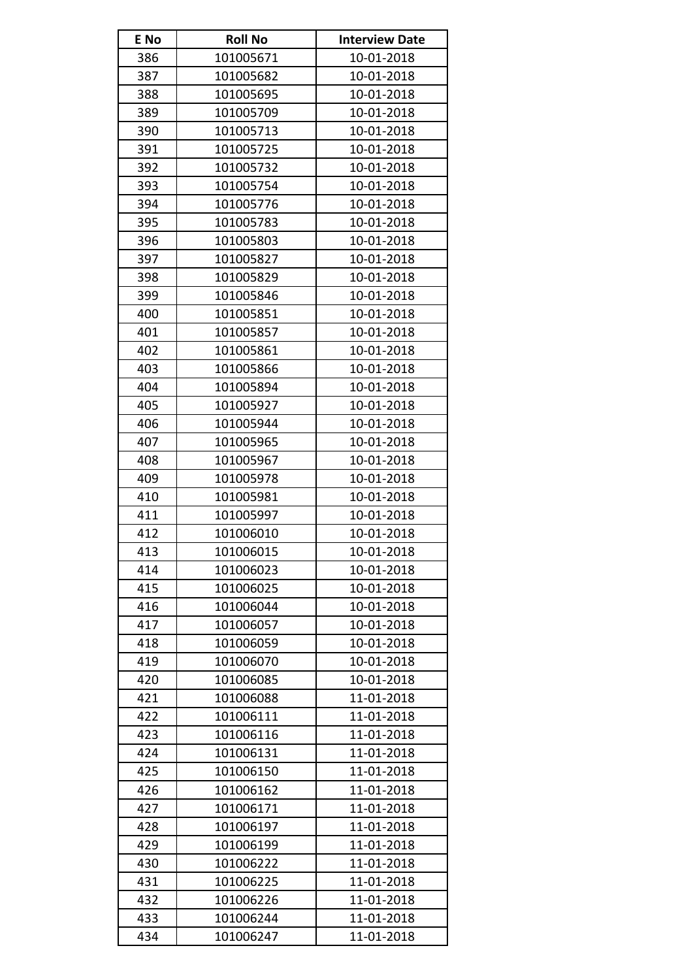| E No | <b>Roll No</b> | <b>Interview Date</b> |
|------|----------------|-----------------------|
| 386  | 101005671      | 10-01-2018            |
| 387  | 101005682      | 10-01-2018            |
| 388  | 101005695      | 10-01-2018            |
| 389  | 101005709      | 10-01-2018            |
| 390  | 101005713      | 10-01-2018            |
| 391  | 101005725      | 10-01-2018            |
| 392  | 101005732      | 10-01-2018            |
| 393  | 101005754      | 10-01-2018            |
| 394  | 101005776      | 10-01-2018            |
| 395  | 101005783      | 10-01-2018            |
| 396  | 101005803      | 10-01-2018            |
| 397  | 101005827      | 10-01-2018            |
| 398  | 101005829      | 10-01-2018            |
| 399  | 101005846      | 10-01-2018            |
| 400  | 101005851      | 10-01-2018            |
| 401  | 101005857      | 10-01-2018            |
| 402  | 101005861      | 10-01-2018            |
| 403  | 101005866      | 10-01-2018            |
| 404  | 101005894      | 10-01-2018            |
| 405  | 101005927      | 10-01-2018            |
| 406  | 101005944      | 10-01-2018            |
| 407  | 101005965      | 10-01-2018            |
| 408  | 101005967      | 10-01-2018            |
| 409  | 101005978      | 10-01-2018            |
| 410  | 101005981      | 10-01-2018            |
| 411  | 101005997      | 10-01-2018            |
| 412  | 101006010      | 10-01-2018            |
| 413  | 101006015      | 10-01-2018            |
| 414  | 101006023      | 10-01-2018            |
| 415  | 101006025      | 10-01-2018            |
| 416  | 101006044      | 10-01-2018            |
| 417  | 101006057      | 10-01-2018            |
| 418  | 101006059      | 10-01-2018            |
| 419  | 101006070      | 10-01-2018            |
| 420  | 101006085      | 10-01-2018            |
| 421  | 101006088      | 11-01-2018            |
| 422  | 101006111      | 11-01-2018            |
| 423  | 101006116      | 11-01-2018            |
| 424  | 101006131      | 11-01-2018            |
| 425  | 101006150      | 11-01-2018            |
| 426  | 101006162      | 11-01-2018            |
| 427  | 101006171      | 11-01-2018            |
| 428  | 101006197      | 11-01-2018            |
| 429  | 101006199      | 11-01-2018            |
| 430  | 101006222      | 11-01-2018            |
| 431  | 101006225      | 11-01-2018            |
| 432  | 101006226      | 11-01-2018            |
| 433  | 101006244      | 11-01-2018            |
| 434  | 101006247      | 11-01-2018            |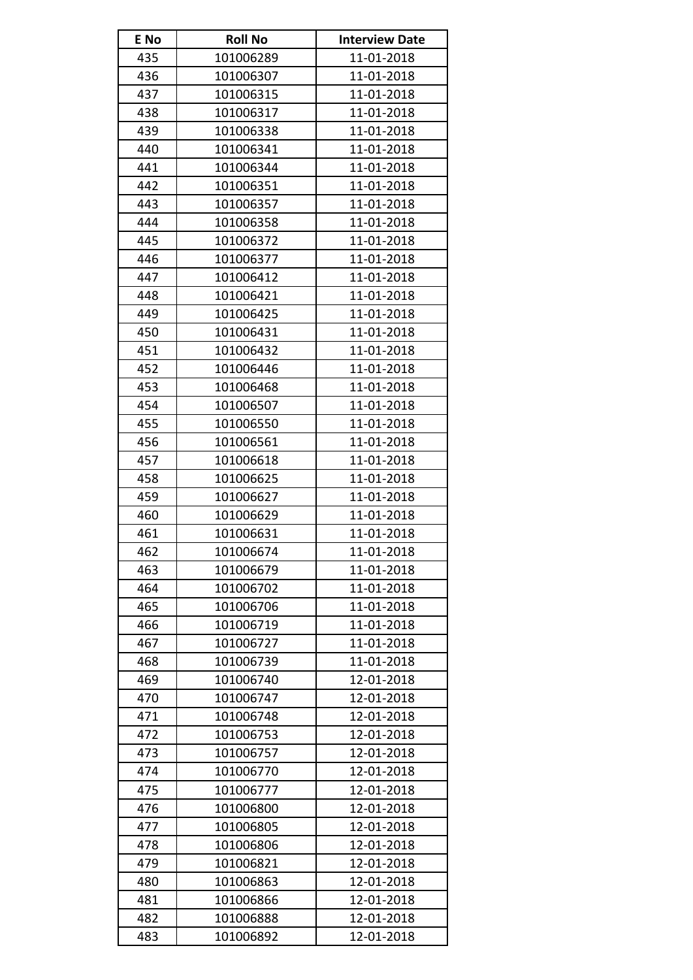| E No | <b>Roll No</b> | <b>Interview Date</b> |
|------|----------------|-----------------------|
| 435  | 101006289      | 11-01-2018            |
| 436  | 101006307      | 11-01-2018            |
| 437  | 101006315      | 11-01-2018            |
| 438  | 101006317      | 11-01-2018            |
| 439  | 101006338      | 11-01-2018            |
| 440  | 101006341      | 11-01-2018            |
| 441  | 101006344      | 11-01-2018            |
| 442  | 101006351      | 11-01-2018            |
| 443  | 101006357      | 11-01-2018            |
| 444  | 101006358      | 11-01-2018            |
| 445  | 101006372      | 11-01-2018            |
| 446  | 101006377      | 11-01-2018            |
| 447  | 101006412      | 11-01-2018            |
| 448  | 101006421      | 11-01-2018            |
| 449  | 101006425      | 11-01-2018            |
| 450  | 101006431      | 11-01-2018            |
| 451  | 101006432      | 11-01-2018            |
| 452  | 101006446      | 11-01-2018            |
| 453  | 101006468      | 11-01-2018            |
| 454  | 101006507      | 11-01-2018            |
| 455  | 101006550      | 11-01-2018            |
| 456  | 101006561      | 11-01-2018            |
| 457  | 101006618      | 11-01-2018            |
| 458  | 101006625      | 11-01-2018            |
| 459  | 101006627      | 11-01-2018            |
| 460  | 101006629      | 11-01-2018            |
| 461  | 101006631      | 11-01-2018            |
| 462  | 101006674      | 11-01-2018            |
| 463  | 101006679      | 11-01-2018            |
| 464  | 101006702      | 11-01-2018            |
| 465  | 101006706      | 11-01-2018            |
| 466  | 101006719      | 11-01-2018            |
| 467  | 101006727      | 11-01-2018            |
| 468  | 101006739      | 11-01-2018            |
| 469  | 101006740      | 12-01-2018            |
| 470  | 101006747      | 12-01-2018            |
| 471  | 101006748      | 12-01-2018            |
| 472  | 101006753      | 12-01-2018            |
| 473  | 101006757      | 12-01-2018            |
| 474  | 101006770      | 12-01-2018            |
| 475  | 101006777      | 12-01-2018            |
| 476  | 101006800      | 12-01-2018            |
| 477  | 101006805      | 12-01-2018            |
| 478  | 101006806      | 12-01-2018            |
| 479  | 101006821      | 12-01-2018            |
| 480  | 101006863      | 12-01-2018            |
| 481  | 101006866      | 12-01-2018            |
| 482  | 101006888      | 12-01-2018            |
| 483  | 101006892      | 12-01-2018            |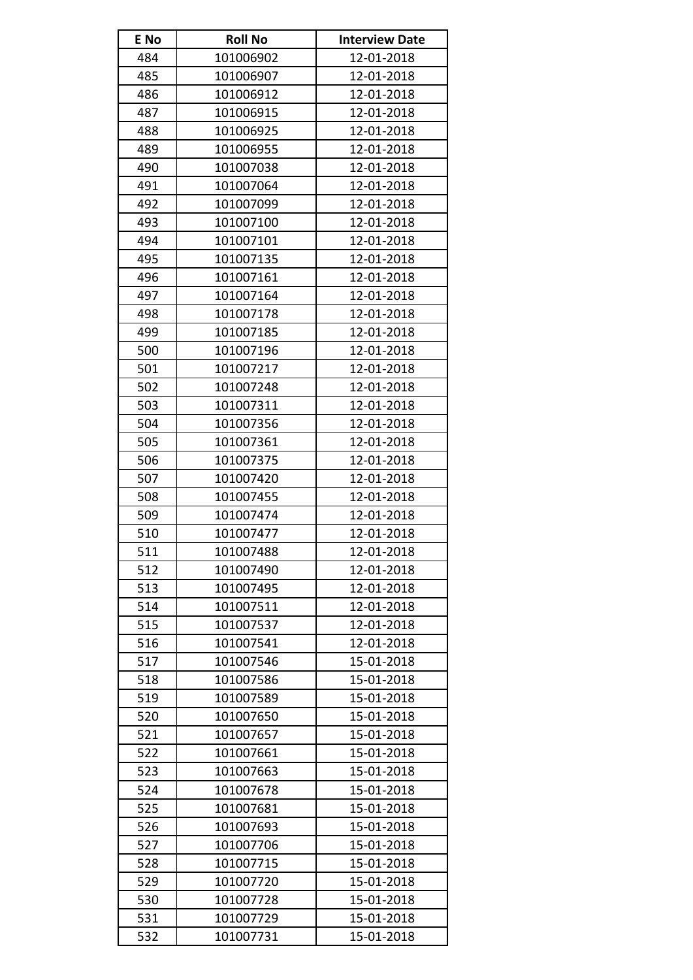| E No | <b>Roll No</b> | <b>Interview Date</b> |
|------|----------------|-----------------------|
| 484  | 101006902      | 12-01-2018            |
| 485  | 101006907      | 12-01-2018            |
| 486  | 101006912      | 12-01-2018            |
| 487  | 101006915      | 12-01-2018            |
| 488  | 101006925      | 12-01-2018            |
| 489  | 101006955      | 12-01-2018            |
| 490  | 101007038      | 12-01-2018            |
| 491  | 101007064      | 12-01-2018            |
| 492  | 101007099      | 12-01-2018            |
| 493  | 101007100      | 12-01-2018            |
| 494  | 101007101      | 12-01-2018            |
| 495  | 101007135      | 12-01-2018            |
| 496  | 101007161      | 12-01-2018            |
| 497  | 101007164      | 12-01-2018            |
| 498  | 101007178      | 12-01-2018            |
| 499  | 101007185      | 12-01-2018            |
| 500  | 101007196      | 12-01-2018            |
| 501  | 101007217      | 12-01-2018            |
| 502  | 101007248      | 12-01-2018            |
| 503  | 101007311      | 12-01-2018            |
| 504  | 101007356      | 12-01-2018            |
| 505  | 101007361      | 12-01-2018            |
| 506  | 101007375      | 12-01-2018            |
| 507  | 101007420      | 12-01-2018            |
| 508  | 101007455      | 12-01-2018            |
| 509  | 101007474      | 12-01-2018            |
| 510  | 101007477      | 12-01-2018            |
| 511  | 101007488      | 12-01-2018            |
| 512  | 101007490      | 12-01-2018            |
| 513  | 101007495      | 12-01-2018            |
| 514  | 101007511      | 12-01-2018            |
| 515  | 101007537      | 12-01-2018            |
| 516  | 101007541      | 12-01-2018            |
| 517  | 101007546      | 15-01-2018            |
| 518  | 101007586      | 15-01-2018            |
| 519  | 101007589      | 15-01-2018            |
| 520  | 101007650      | 15-01-2018            |
| 521  | 101007657      | 15-01-2018            |
| 522  | 101007661      | 15-01-2018            |
| 523  | 101007663      | 15-01-2018            |
| 524  | 101007678      | 15-01-2018            |
| 525  | 101007681      | 15-01-2018            |
| 526  | 101007693      | 15-01-2018            |
| 527  | 101007706      | 15-01-2018            |
| 528  | 101007715      | 15-01-2018            |
| 529  | 101007720      | 15-01-2018            |
| 530  | 101007728      | 15-01-2018            |
| 531  | 101007729      | 15-01-2018            |
| 532  | 101007731      | 15-01-2018            |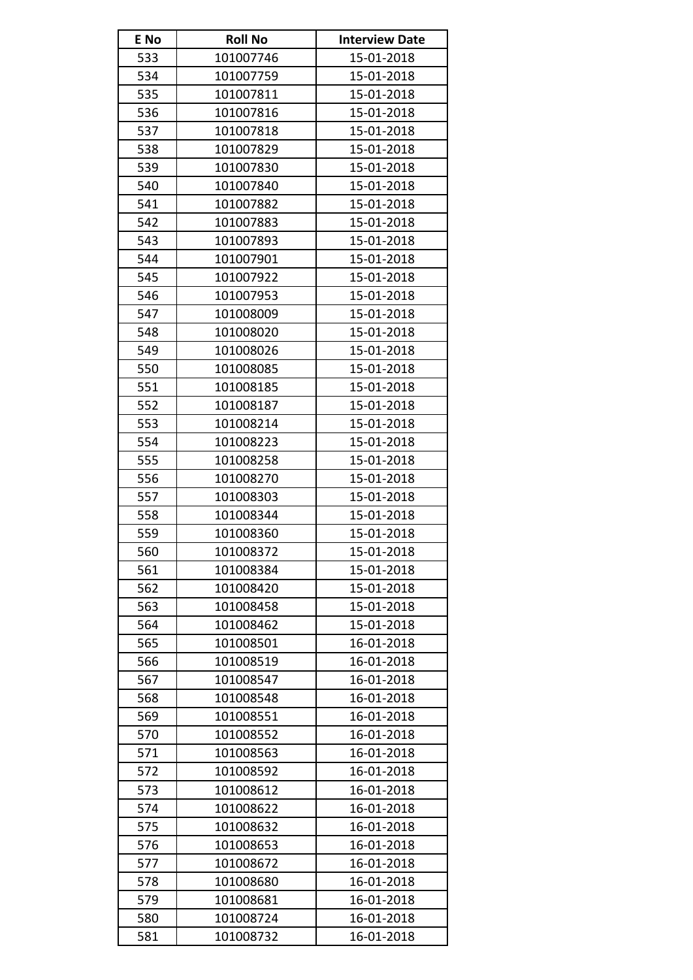| E No | <b>Roll No</b> | <b>Interview Date</b> |
|------|----------------|-----------------------|
| 533  | 101007746      | 15-01-2018            |
| 534  | 101007759      | 15-01-2018            |
| 535  | 101007811      | 15-01-2018            |
| 536  | 101007816      | 15-01-2018            |
| 537  | 101007818      | 15-01-2018            |
| 538  | 101007829      | 15-01-2018            |
| 539  | 101007830      | 15-01-2018            |
| 540  | 101007840      | 15-01-2018            |
| 541  | 101007882      | 15-01-2018            |
| 542  | 101007883      | 15-01-2018            |
| 543  | 101007893      | 15-01-2018            |
| 544  | 101007901      | 15-01-2018            |
| 545  | 101007922      | 15-01-2018            |
| 546  | 101007953      | 15-01-2018            |
| 547  | 101008009      | 15-01-2018            |
| 548  | 101008020      | 15-01-2018            |
| 549  | 101008026      | 15-01-2018            |
| 550  | 101008085      | 15-01-2018            |
| 551  | 101008185      | 15-01-2018            |
| 552  | 101008187      | 15-01-2018            |
| 553  | 101008214      | 15-01-2018            |
| 554  | 101008223      | 15-01-2018            |
| 555  | 101008258      | 15-01-2018            |
| 556  | 101008270      | 15-01-2018            |
| 557  | 101008303      | 15-01-2018            |
| 558  | 101008344      | 15-01-2018            |
| 559  | 101008360      | 15-01-2018            |
| 560  | 101008372      | 15-01-2018            |
| 561  | 101008384      | 15-01-2018            |
| 562  | 101008420      | 15-01-2018            |
| 563  | 101008458      | 15-01-2018            |
| 564  | 101008462      | 15-01-2018            |
| 565  | 101008501      | 16-01-2018            |
| 566  | 101008519      | 16-01-2018            |
| 567  | 101008547      | 16-01-2018            |
| 568  | 101008548      | 16-01-2018            |
| 569  | 101008551      | 16-01-2018            |
| 570  | 101008552      | 16-01-2018            |
| 571  | 101008563      | 16-01-2018            |
| 572  | 101008592      | 16-01-2018            |
| 573  | 101008612      | 16-01-2018            |
| 574  | 101008622      | 16-01-2018            |
| 575  | 101008632      | 16-01-2018            |
| 576  | 101008653      | 16-01-2018            |
| 577  | 101008672      | 16-01-2018            |
| 578  | 101008680      | 16-01-2018            |
| 579  | 101008681      | 16-01-2018            |
| 580  | 101008724      | 16-01-2018            |
| 581  | 101008732      | 16-01-2018            |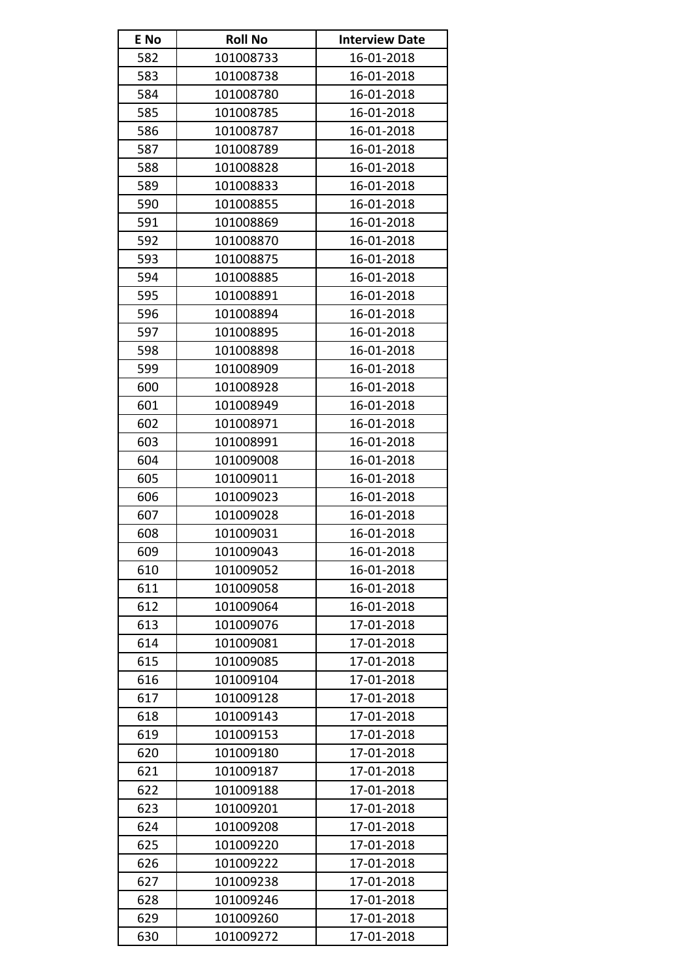| E No | <b>Roll No</b> | <b>Interview Date</b> |
|------|----------------|-----------------------|
| 582  | 101008733      | 16-01-2018            |
| 583  | 101008738      | 16-01-2018            |
| 584  | 101008780      | 16-01-2018            |
| 585  | 101008785      | 16-01-2018            |
| 586  | 101008787      | 16-01-2018            |
| 587  | 101008789      | 16-01-2018            |
| 588  | 101008828      | 16-01-2018            |
| 589  | 101008833      | 16-01-2018            |
| 590  | 101008855      | 16-01-2018            |
| 591  | 101008869      | 16-01-2018            |
| 592  | 101008870      | 16-01-2018            |
| 593  | 101008875      | 16-01-2018            |
| 594  | 101008885      | 16-01-2018            |
| 595  | 101008891      | 16-01-2018            |
| 596  | 101008894      | 16-01-2018            |
| 597  | 101008895      | 16-01-2018            |
| 598  | 101008898      | 16-01-2018            |
| 599  | 101008909      | 16-01-2018            |
| 600  | 101008928      | 16-01-2018            |
| 601  | 101008949      | 16-01-2018            |
| 602  | 101008971      | 16-01-2018            |
| 603  | 101008991      | 16-01-2018            |
| 604  | 101009008      | 16-01-2018            |
| 605  | 101009011      | 16-01-2018            |
| 606  | 101009023      | 16-01-2018            |
| 607  | 101009028      | 16-01-2018            |
| 608  | 101009031      | 16-01-2018            |
| 609  | 101009043      | 16-01-2018            |
| 610  | 101009052      | 16-01-2018            |
| 611  | 101009058      | 16-01-2018            |
| 612  | 101009064      | 16-01-2018            |
| 613  | 101009076      | 17-01-2018            |
| 614  | 101009081      | 17-01-2018            |
| 615  | 101009085      | 17-01-2018            |
| 616  | 101009104      | 17-01-2018            |
| 617  | 101009128      | 17-01-2018            |
| 618  | 101009143      | 17-01-2018            |
| 619  | 101009153      | 17-01-2018            |
| 620  | 101009180      | 17-01-2018            |
| 621  | 101009187      | 17-01-2018            |
| 622  | 101009188      | 17-01-2018            |
| 623  | 101009201      | 17-01-2018            |
| 624  | 101009208      | 17-01-2018            |
| 625  | 101009220      | 17-01-2018            |
| 626  | 101009222      | 17-01-2018            |
| 627  | 101009238      | 17-01-2018            |
| 628  | 101009246      | 17-01-2018            |
| 629  | 101009260      | 17-01-2018            |
| 630  | 101009272      | 17-01-2018            |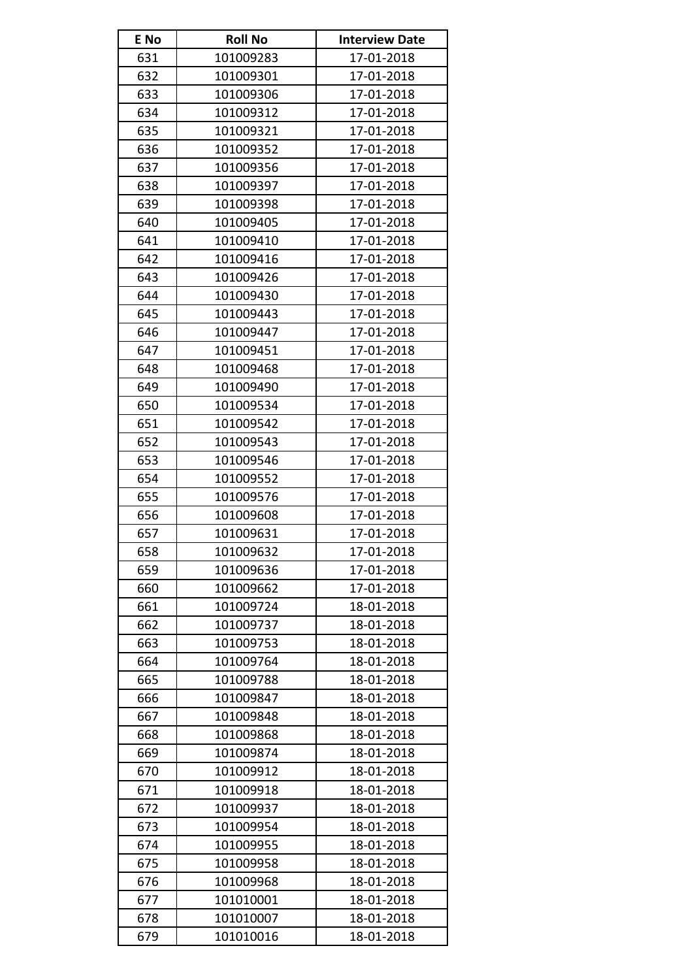| E No | <b>Roll No</b> | <b>Interview Date</b> |
|------|----------------|-----------------------|
| 631  | 101009283      | 17-01-2018            |
| 632  | 101009301      | 17-01-2018            |
| 633  | 101009306      | 17-01-2018            |
| 634  | 101009312      | 17-01-2018            |
| 635  | 101009321      | 17-01-2018            |
| 636  | 101009352      | 17-01-2018            |
| 637  | 101009356      | 17-01-2018            |
| 638  | 101009397      | 17-01-2018            |
| 639  | 101009398      | 17-01-2018            |
| 640  | 101009405      | 17-01-2018            |
| 641  | 101009410      | 17-01-2018            |
| 642  | 101009416      | 17-01-2018            |
| 643  | 101009426      | 17-01-2018            |
| 644  | 101009430      | 17-01-2018            |
| 645  | 101009443      | 17-01-2018            |
| 646  | 101009447      | 17-01-2018            |
| 647  | 101009451      | 17-01-2018            |
| 648  | 101009468      | 17-01-2018            |
| 649  | 101009490      | 17-01-2018            |
| 650  | 101009534      | 17-01-2018            |
| 651  | 101009542      | 17-01-2018            |
| 652  | 101009543      | 17-01-2018            |
| 653  | 101009546      | 17-01-2018            |
| 654  | 101009552      | 17-01-2018            |
| 655  | 101009576      | 17-01-2018            |
| 656  | 101009608      | 17-01-2018            |
| 657  | 101009631      | 17-01-2018            |
| 658  | 101009632      | 17-01-2018            |
| 659  | 101009636      | 17-01-2018            |
| 660  | 101009662      | 17-01-2018            |
| 661  | 101009724      | 18-01-2018            |
| 662  | 101009737      | 18-01-2018            |
| 663  | 101009753      | 18-01-2018            |
| 664  | 101009764      | 18-01-2018            |
| 665  | 101009788      | 18-01-2018            |
| 666  | 101009847      | 18-01-2018            |
| 667  | 101009848      | 18-01-2018            |
| 668  | 101009868      | 18-01-2018            |
| 669  | 101009874      | 18-01-2018            |
| 670  | 101009912      | 18-01-2018            |
| 671  | 101009918      | 18-01-2018            |
| 672  | 101009937      | 18-01-2018            |
| 673  | 101009954      | 18-01-2018            |
| 674  | 101009955      | 18-01-2018            |
| 675  | 101009958      | 18-01-2018            |
| 676  | 101009968      | 18-01-2018            |
| 677  | 101010001      | 18-01-2018            |
| 678  | 101010007      | 18-01-2018            |
| 679  | 101010016      | 18-01-2018            |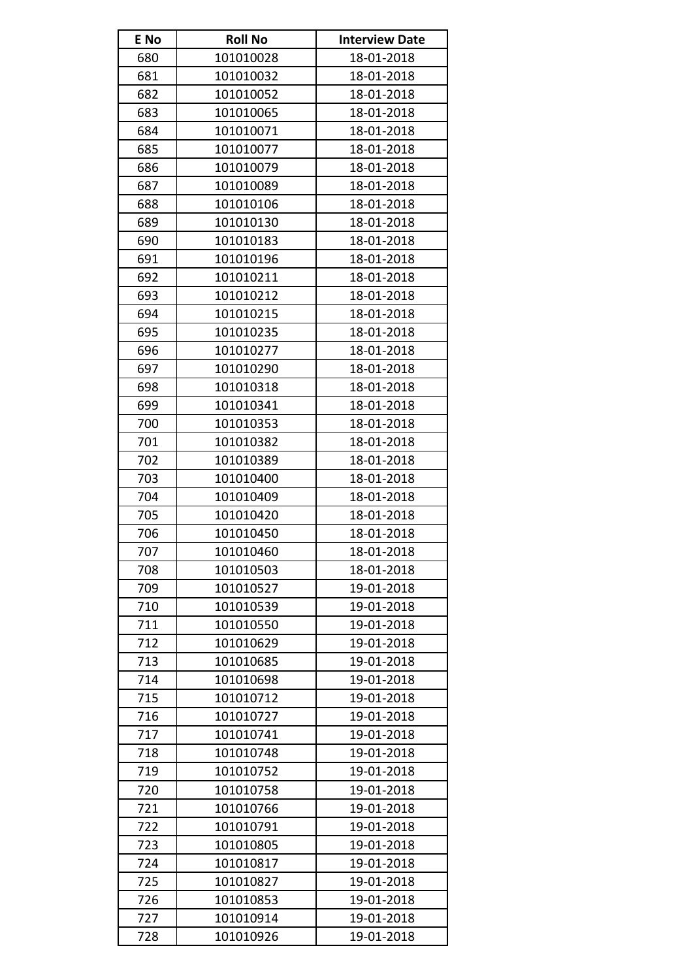| E No | <b>Roll No</b> | <b>Interview Date</b> |
|------|----------------|-----------------------|
| 680  | 101010028      | 18-01-2018            |
| 681  | 101010032      | 18-01-2018            |
| 682  | 101010052      | 18-01-2018            |
| 683  | 101010065      | 18-01-2018            |
| 684  | 101010071      | 18-01-2018            |
| 685  | 101010077      | 18-01-2018            |
| 686  | 101010079      | 18-01-2018            |
| 687  | 101010089      | 18-01-2018            |
| 688  | 101010106      | 18-01-2018            |
| 689  | 101010130      | 18-01-2018            |
| 690  | 101010183      | 18-01-2018            |
| 691  | 101010196      | 18-01-2018            |
| 692  | 101010211      | 18-01-2018            |
| 693  | 101010212      | 18-01-2018            |
| 694  | 101010215      | 18-01-2018            |
| 695  | 101010235      | 18-01-2018            |
| 696  | 101010277      | 18-01-2018            |
| 697  | 101010290      | 18-01-2018            |
| 698  | 101010318      | 18-01-2018            |
| 699  | 101010341      | 18-01-2018            |
| 700  | 101010353      | 18-01-2018            |
| 701  | 101010382      | 18-01-2018            |
| 702  | 101010389      | 18-01-2018            |
| 703  | 101010400      | 18-01-2018            |
| 704  | 101010409      | 18-01-2018            |
| 705  | 101010420      | 18-01-2018            |
| 706  | 101010450      | 18-01-2018            |
| 707  | 101010460      | 18-01-2018            |
| 708  | 101010503      | 18-01-2018            |
| 709  | 101010527      | 19-01-2018            |
| 710  | 101010539      | 19-01-2018            |
| 711  | 101010550      | 19-01-2018            |
| 712  | 101010629      | 19-01-2018            |
| 713  | 101010685      | 19-01-2018            |
| 714  | 101010698      | 19-01-2018            |
| 715  | 101010712      | 19-01-2018            |
| 716  | 101010727      | 19-01-2018            |
| 717  | 101010741      | 19-01-2018            |
| 718  | 101010748      | 19-01-2018            |
| 719  | 101010752      | 19-01-2018            |
| 720  | 101010758      | 19-01-2018            |
| 721  | 101010766      | 19-01-2018            |
| 722  | 101010791      | 19-01-2018            |
| 723  | 101010805      | 19-01-2018            |
| 724  | 101010817      | 19-01-2018            |
| 725  | 101010827      | 19-01-2018            |
| 726  | 101010853      | 19-01-2018            |
| 727  | 101010914      | 19-01-2018            |
| 728  | 101010926      | 19-01-2018            |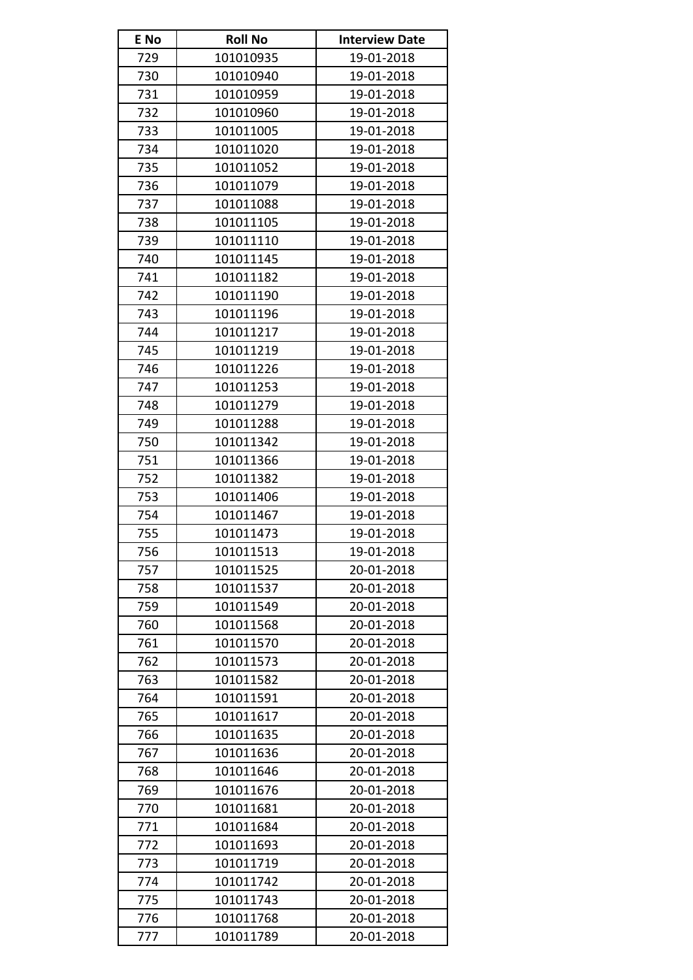| E No | <b>Roll No</b> | <b>Interview Date</b> |
|------|----------------|-----------------------|
| 729  | 101010935      | 19-01-2018            |
| 730  | 101010940      | 19-01-2018            |
| 731  | 101010959      | 19-01-2018            |
| 732  | 101010960      | 19-01-2018            |
| 733  | 101011005      | 19-01-2018            |
| 734  | 101011020      | 19-01-2018            |
| 735  | 101011052      | 19-01-2018            |
| 736  | 101011079      | 19-01-2018            |
| 737  | 101011088      | 19-01-2018            |
| 738  | 101011105      | 19-01-2018            |
| 739  | 101011110      | 19-01-2018            |
| 740  | 101011145      | 19-01-2018            |
| 741  | 101011182      | 19-01-2018            |
| 742  | 101011190      | 19-01-2018            |
| 743  | 101011196      | 19-01-2018            |
| 744  | 101011217      | 19-01-2018            |
| 745  | 101011219      | 19-01-2018            |
| 746  | 101011226      | 19-01-2018            |
| 747  | 101011253      | 19-01-2018            |
| 748  | 101011279      | 19-01-2018            |
| 749  | 101011288      | 19-01-2018            |
| 750  | 101011342      | 19-01-2018            |
| 751  | 101011366      | 19-01-2018            |
| 752  | 101011382      | 19-01-2018            |
| 753  | 101011406      | 19-01-2018            |
| 754  | 101011467      | 19-01-2018            |
| 755  | 101011473      | 19-01-2018            |
| 756  | 101011513      | 19-01-2018            |
| 757  | 101011525      | 20-01-2018            |
| 758  | 101011537      | 20-01-2018            |
| 759  | 101011549      | 20-01-2018            |
| 760  | 101011568      | 20-01-2018            |
| 761  | 101011570      | 20-01-2018            |
| 762  | 101011573      | 20-01-2018            |
| 763  | 101011582      | 20-01-2018            |
| 764  | 101011591      | 20-01-2018            |
| 765  | 101011617      | 20-01-2018            |
| 766  | 101011635      | 20-01-2018            |
| 767  | 101011636      | 20-01-2018            |
| 768  | 101011646      | 20-01-2018            |
| 769  | 101011676      | 20-01-2018            |
| 770  | 101011681      | 20-01-2018            |
| 771  | 101011684      | 20-01-2018            |
| 772  | 101011693      | 20-01-2018            |
| 773  | 101011719      | 20-01-2018            |
| 774  | 101011742      | 20-01-2018            |
| 775  | 101011743      | 20-01-2018            |
| 776  | 101011768      | 20-01-2018            |
| 777  | 101011789      | 20-01-2018            |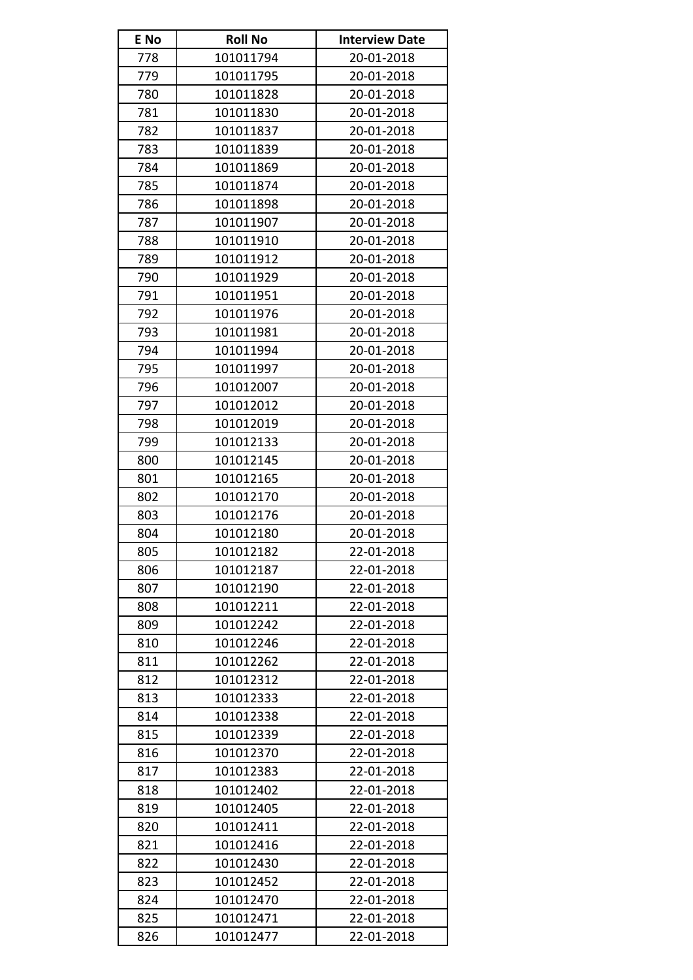| E No | <b>Roll No</b> | <b>Interview Date</b> |
|------|----------------|-----------------------|
| 778  | 101011794      | 20-01-2018            |
| 779  | 101011795      | 20-01-2018            |
| 780  | 101011828      | 20-01-2018            |
| 781  | 101011830      | 20-01-2018            |
| 782  | 101011837      | 20-01-2018            |
| 783  | 101011839      | 20-01-2018            |
| 784  | 101011869      | 20-01-2018            |
| 785  | 101011874      | 20-01-2018            |
| 786  | 101011898      | 20-01-2018            |
| 787  | 101011907      | 20-01-2018            |
| 788  | 101011910      | 20-01-2018            |
| 789  | 101011912      | 20-01-2018            |
| 790  | 101011929      | 20-01-2018            |
| 791  | 101011951      | 20-01-2018            |
| 792  | 101011976      | 20-01-2018            |
| 793  | 101011981      | 20-01-2018            |
| 794  | 101011994      | 20-01-2018            |
| 795  | 101011997      | 20-01-2018            |
| 796  | 101012007      | 20-01-2018            |
| 797  | 101012012      | 20-01-2018            |
| 798  | 101012019      | 20-01-2018            |
| 799  | 101012133      | 20-01-2018            |
| 800  | 101012145      | 20-01-2018            |
| 801  | 101012165      | 20-01-2018            |
| 802  | 101012170      | 20-01-2018            |
| 803  | 101012176      | 20-01-2018            |
| 804  | 101012180      | 20-01-2018            |
| 805  | 101012182      | 22-01-2018            |
| 806  | 101012187      | 22-01-2018            |
| 807  | 101012190      | 22-01-2018            |
| 808  | 101012211      | 22-01-2018            |
| 809  | 101012242      | 22-01-2018            |
| 810  | 101012246      | 22-01-2018            |
| 811  | 101012262      | 22-01-2018            |
| 812  | 101012312      | 22-01-2018            |
| 813  | 101012333      | 22-01-2018            |
| 814  | 101012338      | 22-01-2018            |
| 815  | 101012339      | 22-01-2018            |
| 816  | 101012370      | 22-01-2018            |
| 817  | 101012383      | 22-01-2018            |
| 818  | 101012402      | 22-01-2018            |
| 819  | 101012405      | 22-01-2018            |
| 820  | 101012411      | 22-01-2018            |
| 821  | 101012416      | 22-01-2018            |
| 822  | 101012430      | 22-01-2018            |
| 823  | 101012452      | 22-01-2018            |
| 824  | 101012470      | 22-01-2018            |
| 825  | 101012471      | 22-01-2018            |
| 826  | 101012477      | 22-01-2018            |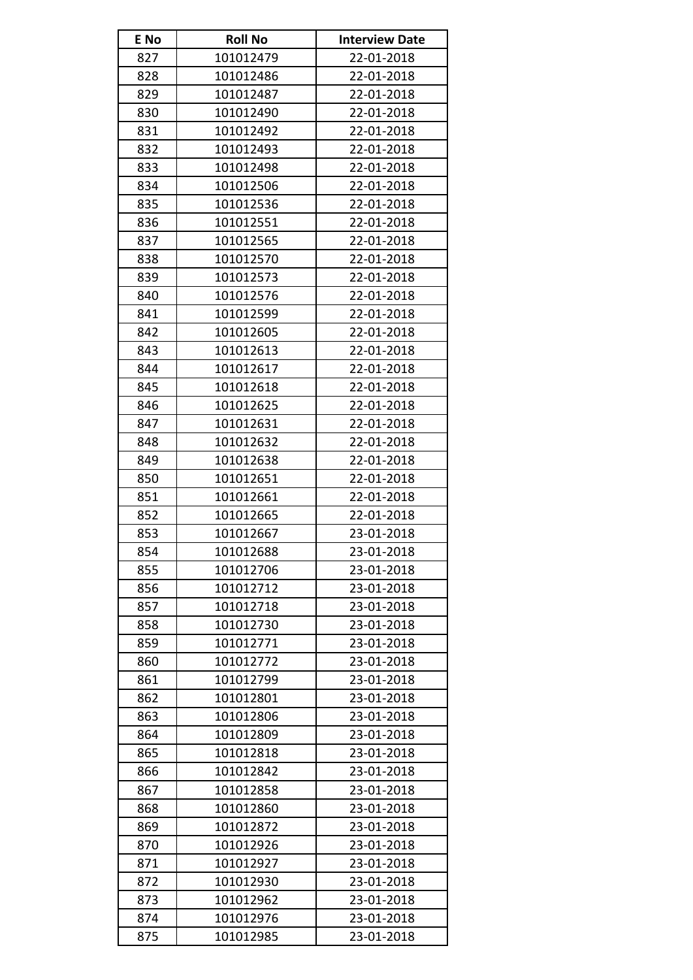| E No | <b>Roll No</b> | <b>Interview Date</b> |
|------|----------------|-----------------------|
| 827  | 101012479      | 22-01-2018            |
| 828  | 101012486      | 22-01-2018            |
| 829  | 101012487      | 22-01-2018            |
| 830  | 101012490      | 22-01-2018            |
| 831  | 101012492      | 22-01-2018            |
| 832  | 101012493      | 22-01-2018            |
| 833  | 101012498      | 22-01-2018            |
| 834  | 101012506      | 22-01-2018            |
| 835  | 101012536      | 22-01-2018            |
| 836  | 101012551      | 22-01-2018            |
| 837  | 101012565      | 22-01-2018            |
| 838  | 101012570      | 22-01-2018            |
| 839  | 101012573      | 22-01-2018            |
| 840  | 101012576      | 22-01-2018            |
| 841  | 101012599      | 22-01-2018            |
| 842  | 101012605      | 22-01-2018            |
| 843  | 101012613      | 22-01-2018            |
| 844  | 101012617      | 22-01-2018            |
| 845  | 101012618      | 22-01-2018            |
| 846  | 101012625      | 22-01-2018            |
| 847  | 101012631      | 22-01-2018            |
| 848  | 101012632      | 22-01-2018            |
| 849  | 101012638      | 22-01-2018            |
| 850  | 101012651      | 22-01-2018            |
| 851  | 101012661      | 22-01-2018            |
| 852  | 101012665      | 22-01-2018            |
| 853  | 101012667      | 23-01-2018            |
| 854  | 101012688      | 23-01-2018            |
| 855  | 101012706      | 23-01-2018            |
| 856  | 101012712      | 23-01-2018            |
| 857  | 101012718      | 23-01-2018            |
| 858  | 101012730      | 23-01-2018            |
| 859  | 101012771      | 23-01-2018            |
| 860  | 101012772      | 23-01-2018            |
| 861  | 101012799      | 23-01-2018            |
| 862  | 101012801      | 23-01-2018            |
| 863  | 101012806      | 23-01-2018            |
| 864  | 101012809      | 23-01-2018            |
| 865  | 101012818      | 23-01-2018            |
| 866  | 101012842      | 23-01-2018            |
| 867  | 101012858      | 23-01-2018            |
| 868  | 101012860      | 23-01-2018            |
| 869  | 101012872      | 23-01-2018            |
| 870  | 101012926      | 23-01-2018            |
| 871  | 101012927      | 23-01-2018            |
| 872  | 101012930      | 23-01-2018            |
| 873  | 101012962      | 23-01-2018            |
| 874  | 101012976      | 23-01-2018            |
| 875  | 101012985      | 23-01-2018            |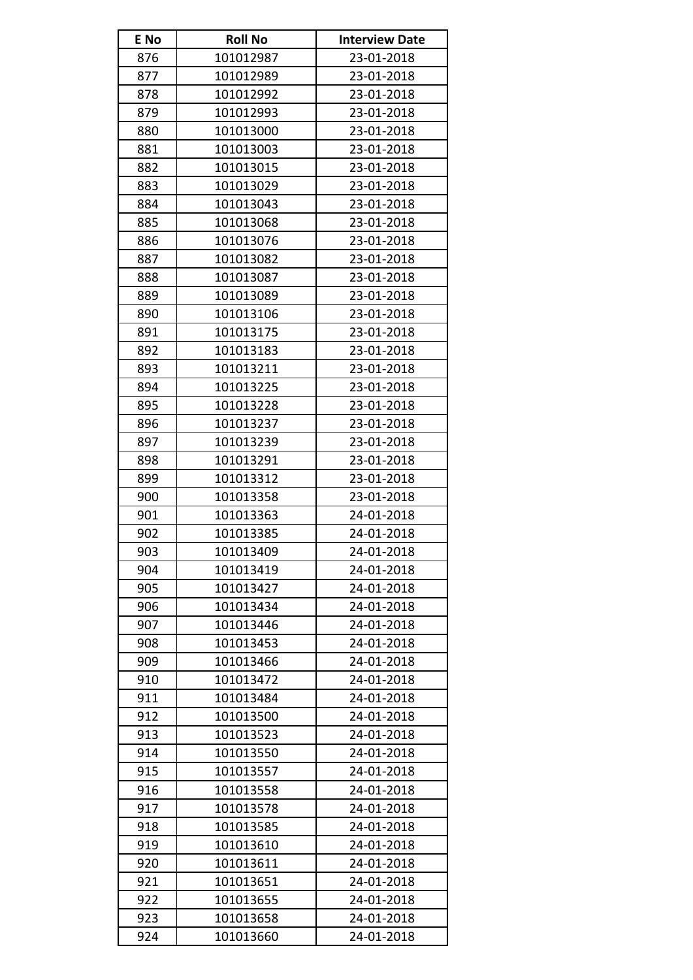| E No | <b>Roll No</b> | <b>Interview Date</b> |
|------|----------------|-----------------------|
| 876  | 101012987      | 23-01-2018            |
| 877  | 101012989      | 23-01-2018            |
| 878  | 101012992      | 23-01-2018            |
| 879  | 101012993      | 23-01-2018            |
| 880  | 101013000      | 23-01-2018            |
| 881  | 101013003      | 23-01-2018            |
| 882  | 101013015      | 23-01-2018            |
| 883  | 101013029      | 23-01-2018            |
| 884  | 101013043      | 23-01-2018            |
| 885  | 101013068      | 23-01-2018            |
| 886  | 101013076      | 23-01-2018            |
| 887  | 101013082      | 23-01-2018            |
| 888  | 101013087      | 23-01-2018            |
| 889  | 101013089      | 23-01-2018            |
| 890  | 101013106      | 23-01-2018            |
| 891  | 101013175      | 23-01-2018            |
| 892  | 101013183      | 23-01-2018            |
| 893  | 101013211      | 23-01-2018            |
| 894  | 101013225      | 23-01-2018            |
| 895  | 101013228      | 23-01-2018            |
| 896  | 101013237      | 23-01-2018            |
| 897  | 101013239      | 23-01-2018            |
| 898  | 101013291      | 23-01-2018            |
| 899  | 101013312      | 23-01-2018            |
| 900  | 101013358      | 23-01-2018            |
| 901  | 101013363      | 24-01-2018            |
| 902  | 101013385      | 24-01-2018            |
| 903  | 101013409      | 24-01-2018            |
| 904  | 101013419      | 24-01-2018            |
| 905  | 101013427      | 24-01-2018            |
| 906  | 101013434      | 24-01-2018            |
| 907  | 101013446      | 24-01-2018            |
| 908  | 101013453      | 24-01-2018            |
| 909  | 101013466      | 24-01-2018            |
| 910  | 101013472      | 24-01-2018            |
| 911  | 101013484      | 24-01-2018            |
| 912  | 101013500      | 24-01-2018            |
| 913  | 101013523      | 24-01-2018            |
| 914  | 101013550      | 24-01-2018            |
| 915  | 101013557      | 24-01-2018            |
| 916  | 101013558      | 24-01-2018            |
| 917  | 101013578      | 24-01-2018            |
| 918  | 101013585      | 24-01-2018            |
| 919  | 101013610      | 24-01-2018            |
| 920  | 101013611      | 24-01-2018            |
| 921  | 101013651      | 24-01-2018            |
| 922  | 101013655      | 24-01-2018            |
| 923  | 101013658      | 24-01-2018            |
| 924  | 101013660      | 24-01-2018            |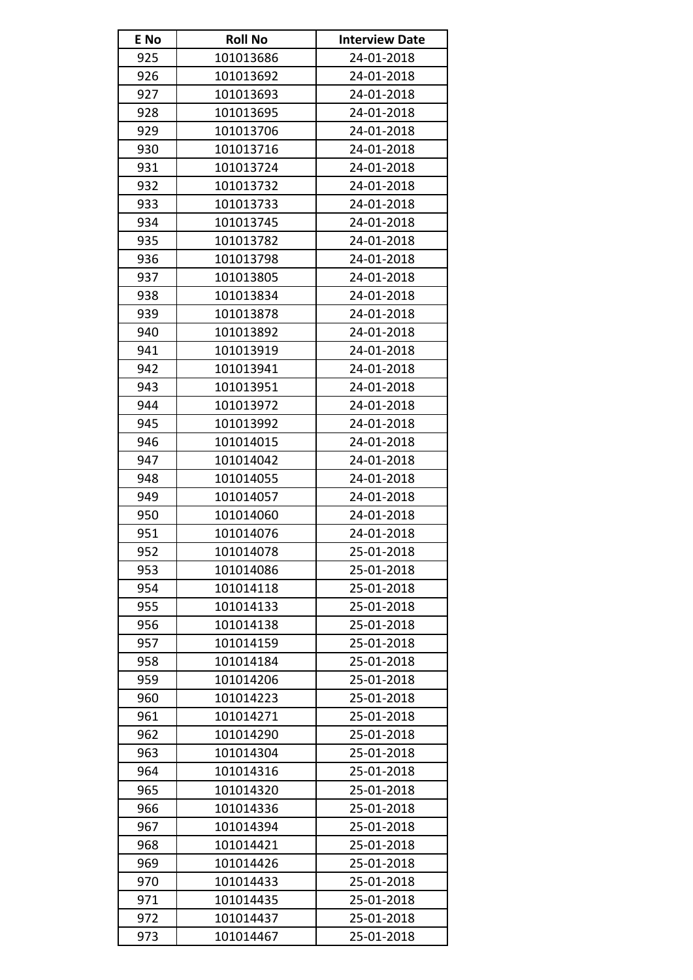| E No | <b>Roll No</b> | <b>Interview Date</b> |
|------|----------------|-----------------------|
| 925  | 101013686      | 24-01-2018            |
| 926  | 101013692      | 24-01-2018            |
| 927  | 101013693      | 24-01-2018            |
| 928  | 101013695      | 24-01-2018            |
| 929  | 101013706      | 24-01-2018            |
| 930  | 101013716      | 24-01-2018            |
| 931  | 101013724      | 24-01-2018            |
| 932  | 101013732      | 24-01-2018            |
| 933  | 101013733      | 24-01-2018            |
| 934  | 101013745      | 24-01-2018            |
| 935  | 101013782      | 24-01-2018            |
| 936  | 101013798      | 24-01-2018            |
| 937  | 101013805      | 24-01-2018            |
| 938  | 101013834      | 24-01-2018            |
| 939  | 101013878      | 24-01-2018            |
| 940  | 101013892      | 24-01-2018            |
| 941  | 101013919      | 24-01-2018            |
| 942  | 101013941      | 24-01-2018            |
| 943  | 101013951      | 24-01-2018            |
| 944  | 101013972      | 24-01-2018            |
| 945  | 101013992      | 24-01-2018            |
| 946  | 101014015      | 24-01-2018            |
| 947  | 101014042      | 24-01-2018            |
| 948  | 101014055      | 24-01-2018            |
| 949  | 101014057      | 24-01-2018            |
| 950  | 101014060      | 24-01-2018            |
| 951  | 101014076      | 24-01-2018            |
| 952  | 101014078      | 25-01-2018            |
| 953  | 101014086      | 25-01-2018            |
| 954  | 101014118      | 25-01-2018            |
| 955  | 101014133      | 25-01-2018            |
| 956  | 101014138      | 25-01-2018            |
| 957  | 101014159      | 25-01-2018            |
| 958  | 101014184      | 25-01-2018            |
| 959  | 101014206      | 25-01-2018            |
| 960  | 101014223      | 25-01-2018            |
| 961  | 101014271      | 25-01-2018            |
| 962  | 101014290      | 25-01-2018            |
| 963  | 101014304      | 25-01-2018            |
| 964  | 101014316      | 25-01-2018            |
| 965  | 101014320      | 25-01-2018            |
| 966  | 101014336      | 25-01-2018            |
| 967  | 101014394      | 25-01-2018            |
| 968  | 101014421      | 25-01-2018            |
| 969  | 101014426      | 25-01-2018            |
| 970  | 101014433      | 25-01-2018            |
| 971  | 101014435      | 25-01-2018            |
| 972  | 101014437      | 25-01-2018            |
| 973  | 101014467      | 25-01-2018            |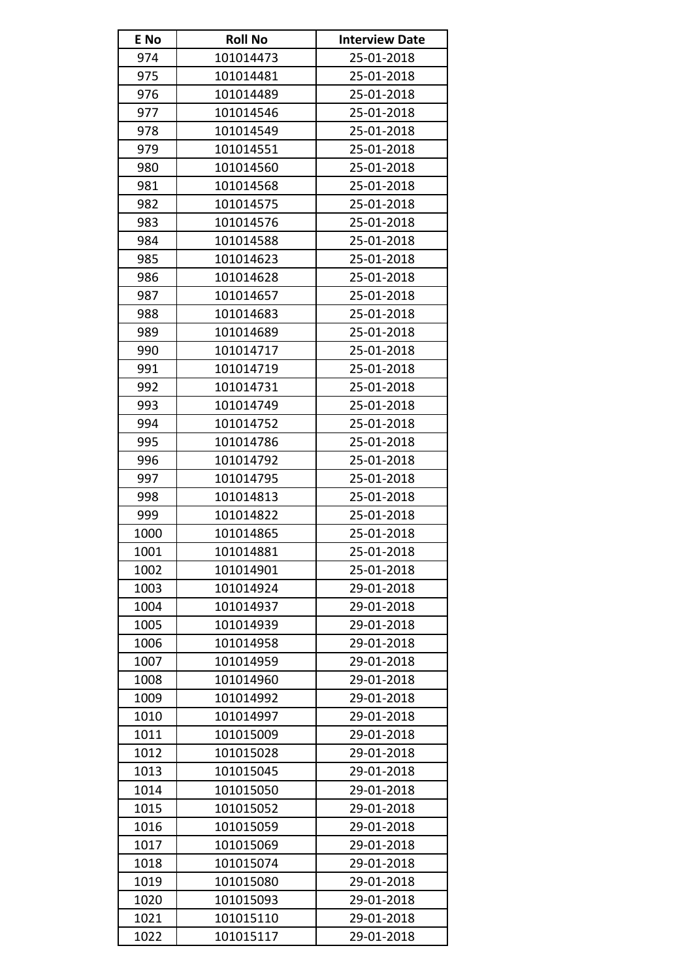| E No | <b>Roll No</b> | <b>Interview Date</b> |
|------|----------------|-----------------------|
| 974  | 101014473      | 25-01-2018            |
| 975  | 101014481      | 25-01-2018            |
| 976  | 101014489      | 25-01-2018            |
| 977  | 101014546      | 25-01-2018            |
| 978  | 101014549      | 25-01-2018            |
| 979  | 101014551      | 25-01-2018            |
| 980  | 101014560      | 25-01-2018            |
| 981  | 101014568      | 25-01-2018            |
| 982  | 101014575      | 25-01-2018            |
| 983  | 101014576      | 25-01-2018            |
| 984  | 101014588      | 25-01-2018            |
| 985  | 101014623      | 25-01-2018            |
| 986  | 101014628      | 25-01-2018            |
| 987  | 101014657      | 25-01-2018            |
| 988  | 101014683      | 25-01-2018            |
| 989  | 101014689      | 25-01-2018            |
| 990  | 101014717      | 25-01-2018            |
| 991  | 101014719      | 25-01-2018            |
| 992  | 101014731      | 25-01-2018            |
| 993  | 101014749      | 25-01-2018            |
| 994  | 101014752      | 25-01-2018            |
| 995  | 101014786      | 25-01-2018            |
| 996  | 101014792      | 25-01-2018            |
| 997  | 101014795      | 25-01-2018            |
| 998  | 101014813      | 25-01-2018            |
| 999  | 101014822      | 25-01-2018            |
| 1000 | 101014865      | 25-01-2018            |
| 1001 | 101014881      | 25-01-2018            |
| 1002 | 101014901      | 25-01-2018            |
| 1003 | 101014924      | 29-01-2018            |
| 1004 | 101014937      | 29-01-2018            |
| 1005 | 101014939      | 29-01-2018            |
| 1006 | 101014958      | 29-01-2018            |
| 1007 | 101014959      | 29-01-2018            |
| 1008 | 101014960      | 29-01-2018            |
| 1009 | 101014992      | 29-01-2018            |
| 1010 | 101014997      | 29-01-2018            |
| 1011 | 101015009      | 29-01-2018            |
| 1012 | 101015028      | 29-01-2018            |
| 1013 | 101015045      | 29-01-2018            |
| 1014 | 101015050      | 29-01-2018            |
| 1015 | 101015052      | 29-01-2018            |
| 1016 | 101015059      | 29-01-2018            |
| 1017 | 101015069      | 29-01-2018            |
| 1018 | 101015074      | 29-01-2018            |
| 1019 | 101015080      | 29-01-2018            |
| 1020 | 101015093      | 29-01-2018            |
| 1021 | 101015110      | 29-01-2018            |
| 1022 | 101015117      | 29-01-2018            |